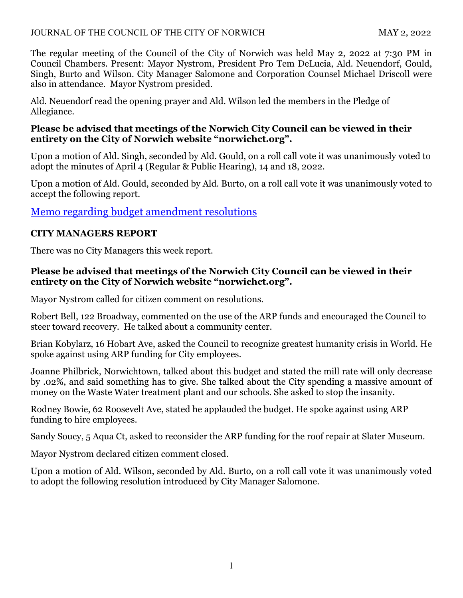### JOURNAL OF THE COUNCIL OF THE CITY OF NORWICH MAY 2, 2022

The regular meeting of the Council of the City of Norwich was held May 2, 2022 at 7:30 PM in Council Chambers. Present: Mayor Nystrom, President Pro Tem DeLucia, Ald. Neuendorf, Gould, Singh, Burto and Wilson. City Manager Salomone and Corporation Counsel Michael Driscoll were also in attendance. Mayor Nystrom presided.

Ald. Neuendorf read the opening prayer and Ald. Wilson led the members in the Pledge of Allegiance.

## **Please be advised that meetings of the Norwich City Council can be viewed in their entirety on the City of Norwich website "norwichct.org".**

Upon a motion of Ald. Singh, seconded by Ald. Gould, on a roll call vote it was unanimously voted to adopt the minutes of April 4 (Regular & Public Hearing), 14 and 18, 2022.

Upon a motion of Ald. Gould, seconded by Ald. Burto, on a roll call vote it was unanimously voted to accept the following report.

# [Memo regarding budget amendment](https://www.norwichct.org/DocumentCenter/View/8264/PC-1---Memo-regarding-budget-amendment-resolutions) resolutions

## **CITY MANAGERS REPORT**

There was no City Managers this week report.

## **Please be advised that meetings of the Norwich City Council can be viewed in their entirety on the City of Norwich website "norwichct.org".**

Mayor Nystrom called for citizen comment on resolutions.

Robert Bell, 122 Broadway, commented on the use of the ARP funds and encouraged the Council to steer toward recovery. He talked about a community center.

Brian Kobylarz, 16 Hobart Ave, asked the Council to recognize greatest humanity crisis in World. He spoke against using ARP funding for City employees.

Joanne Philbrick, Norwichtown, talked about this budget and stated the mill rate will only decrease by .02%, and said something has to give. She talked about the City spending a massive amount of money on the Waste Water treatment plant and our schools. She asked to stop the insanity.

Rodney Bowie, 62 Roosevelt Ave, stated he applauded the budget. He spoke against using ARP funding to hire employees.

Sandy Soucy, 5 Aqua Ct, asked to reconsider the ARP funding for the roof repair at Slater Museum.

Mayor Nystrom declared citizen comment closed.

Upon a motion of Ald. Wilson, seconded by Ald. Burto, on a roll call vote it was unanimously voted to adopt the following resolution introduced by City Manager Salomone.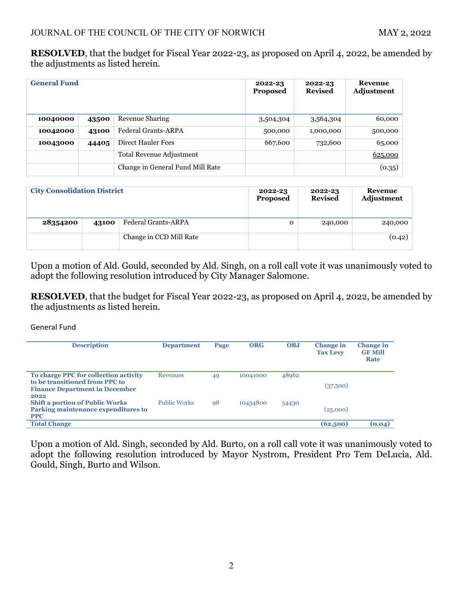**RESOLVED**, that the budget for Fiscal Year 2022-23, as proposed on April 4, 2022, be amended by the adjustments as listed herein.

| <b>General Fund</b> |       |                                  | 2022-23<br><b>Proposed</b> | 2022-23<br><b>Revised</b> | Revenue<br>Adjustment |
|---------------------|-------|----------------------------------|----------------------------|---------------------------|-----------------------|
| 10040000            | 43500 | Revenue Sharing                  | 3,504,304                  | 3,564,304                 | 60,000                |
| 10042000            | 43100 | <b>Federal Grants-ARPA</b>       | 500,000                    | 1,000,000                 | 500,000               |
| 10043000            | 44405 | Direct Hauler Fees               | 667,600                    | 732,600                   | 65,000                |
|                     |       | Total Revenue Adjustment         |                            |                           | 625,000               |
|                     |       | Change in General Fund Mill Rate |                            |                           | (0.35)                |

| <b>City Consolidation District</b> |       |                         | 2022-23<br>Proposed | 2022-23<br><b>Revised</b> | Revenue<br>Adjustment |
|------------------------------------|-------|-------------------------|---------------------|---------------------------|-----------------------|
| 28354200                           | 43100 | Federal Grants-ARPA     | $\mathbf{O}$        | 240,000                   | 240,000               |
|                                    |       | Change in CCD Mill Rate |                     |                           | (0.42)                |

Upon a motion of Ald. Gould, seconded by Ald. Singh, on a roll call vote it was unanimously voted to adopt the following resolution introduced by City Manager Salomone.

**RESOLVED**, that the budget for Fiscal Year 2022-23, as proposed on April 4, 2022, be amended by the adjustments as listed herein.

General Fund

| <b>Description</b>                                                                                               | <b>Department</b>   | Page | ORG      | <b>OBJ</b> | <b>Change</b> in<br><b>Tax Levy</b> | <b>Change</b> in<br><b>GF Mill</b><br>Rate |
|------------------------------------------------------------------------------------------------------------------|---------------------|------|----------|------------|-------------------------------------|--------------------------------------------|
| To charge PPC for collection activity<br>to be transitioned from PPC to<br><b>Finance Department in December</b> | Revenues            | 49   | 10041000 | 48962      | (37,500)                            |                                            |
| 2022<br><b>Shift a portion of Public Works</b><br>Parking maintenance expenditures to<br><b>PPC</b>              | <b>Public Works</b> | 98   | 10434800 | 54430      | (25,000)                            |                                            |
| <b>Total Change</b>                                                                                              |                     |      |          |            | (62,500)                            | (0.04)                                     |

Upon a motion of Ald. Singh, seconded by Ald. Burto, on a roll call vote it was unanimously voted to adopt the following resolution introduced by Mayor Nystrom, President Pro Tem DeLucia, Ald. Gould, Singh, Burto and Wilson.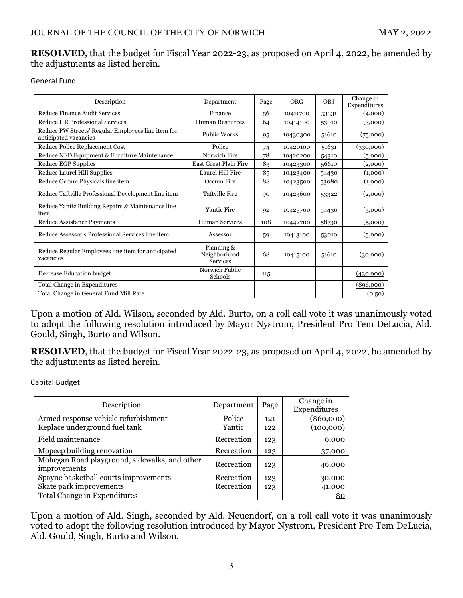#### **RESOLVED**, that the budget for Fiscal Year 2022-23, as proposed on April 4, 2022, be amended by the adjustments as listed herein.

General Fund

| Description                                                                 | Department                                    | Page | ORG      | OBJ   | Change in<br>Expenditures |
|-----------------------------------------------------------------------------|-----------------------------------------------|------|----------|-------|---------------------------|
| Reduce Finance Audit Services                                               | Finance                                       | 56   | 10411700 | 53331 | (4,000)                   |
| <b>Reduce HR Professional Services</b>                                      | <b>Human Resources</b>                        | 64   | 10414100 | 53010 | (3,000)                   |
| Reduce PW Streets' Regular Employees line item for<br>anticipated vacancies | <b>Public Works</b>                           | 95   | 10430300 | 51610 | (75,000)                  |
| Reduce Police Replacement Cost                                              | Police                                        | 74   | 10420100 | 51631 | (330,000)                 |
| Reduce NFD Equipment & Furniture Maintenance                                | Norwich Fire                                  | 78   | 10420200 | 54310 | (5,000)                   |
| Reduce EGP Supplies                                                         | <b>East Great Plain Fire</b>                  | 83   | 10423300 | 56610 | (2,000)                   |
| Reduce Laurel Hill Supplies                                                 | Laurel Hill Fire                              | 85   | 10423400 | 54430 | (1,000)                   |
| Reduce Occum Physicals line item                                            | Occum Fire                                    | 88   | 10423500 | 53080 | (1,000)                   |
| Reduce Taftville Professional Development line item                         | <b>Taftville Fire</b>                         | 90   | 10423600 | 53322 | (2,000)                   |
| Reduce Yantic Building Repairs & Maintenance line<br>item                   | <b>Yantic Fire</b>                            | 92   | 10423700 | 54430 | (3,000)                   |
| Reduce Assistance Payments                                                  | Human Services                                | 108  | 10442700 | 58730 | (5,000)                   |
| Reduce Assessor's Professional Services line item                           | Assessor                                      | 59   | 10413100 | 53010 | (5,000)                   |
| Reduce Regular Employees line item for anticipated<br>vacancies             | Planning &<br>Neighborhood<br><b>Services</b> | 68   | 10415100 | 51610 | (30,000)                  |
| Decrease Education budget                                                   | Norwich Public<br>Schools                     | 115  |          |       | (430,000)                 |
| Total Change in Expenditures                                                |                                               |      |          |       | (896,000)                 |
| Total Change in General Fund Mill Rate                                      |                                               |      |          |       | (0.50)                    |

Upon a motion of Ald. Wilson, seconded by Ald. Burto, on a roll call vote it was unanimously voted to adopt the following resolution introduced by Mayor Nystrom, President Pro Tem DeLucia, Ald. Gould, Singh, Burto and Wilson.

**RESOLVED**, that the budget for Fiscal Year 2022-23, as proposed on April 4, 2022, be amended by the adjustments as listed herein.

Capital Budget

| Description                                                   | Department | Page | Change in    |  |  |  |
|---------------------------------------------------------------|------------|------|--------------|--|--|--|
|                                                               |            |      | Expenditures |  |  |  |
| Armed response vehicle refurbishment                          | Police     | 121  | $(\$60,000)$ |  |  |  |
| Replace underground fuel tank                                 | Yantic     | 122  | (100,000)    |  |  |  |
| Field maintenance                                             | Recreation | 123  | 6,000        |  |  |  |
| Mopeep building renovation                                    | Recreation | 123  | 37,000       |  |  |  |
| Mohegan Road playground, sidewalks, and other<br>improvements | Recreation | 123  | 46,000       |  |  |  |
| Spayne basketball courts improvements                         | Recreation | 123  | 30,000       |  |  |  |
| Skate park improvements                                       | Recreation | 123  | 41,000       |  |  |  |
| Total Change in Expenditures                                  |            |      | <u>\$0</u>   |  |  |  |

Upon a motion of Ald. Singh, seconded by Ald. Neuendorf, on a roll call vote it was unanimously voted to adopt the following resolution introduced by Mayor Nystrom, President Pro Tem DeLucia, Ald. Gould, Singh, Burto and Wilson.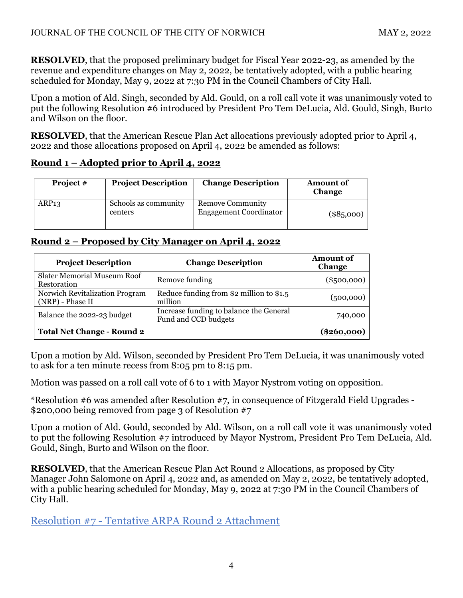**RESOLVED**, that the proposed preliminary budget for Fiscal Year 2022-23, as amended by the revenue and expenditure changes on May 2, 2022, be tentatively adopted, with a public hearing scheduled for Monday, May 9, 2022 at 7:30 PM in the Council Chambers of City Hall.

Upon a motion of Ald. Singh, seconded by Ald. Gould, on a roll call vote it was unanimously voted to put the following Resolution #6 introduced by President Pro Tem DeLucia, Ald. Gould, Singh, Burto and Wilson on the floor.

**RESOLVED**, that the American Rescue Plan Act allocations previously adopted prior to April 4, 2022 and those allocations proposed on April 4, 2022 be amended as follows:

# **Round 1 – Adopted prior to April 4, 2022**

| <b>Project</b> # | <b>Project Description</b>      | <b>Change Description</b>                                | <b>Amount of</b><br><b>Change</b> |
|------------------|---------------------------------|----------------------------------------------------------|-----------------------------------|
| ARP13            | Schools as community<br>centers | <b>Remove Community</b><br><b>Engagement Coordinator</b> | $(\$85,000)$                      |

# **Round 2 – Proposed by City Manager on April 4, 2022**

| <b>Project Description</b>                         | <b>Change Description</b>                                       | Amount of<br>Change |
|----------------------------------------------------|-----------------------------------------------------------------|---------------------|
| <b>Slater Memorial Museum Roof</b><br>Restoration  | Remove funding                                                  | $(\$500,000)$       |
| Norwich Revitalization Program<br>(NRP) - Phase II | Reduce funding from $$2$ million to $$1.5$<br>million           | (500,000)           |
| Balance the 2022-23 budget                         | Increase funding to balance the General<br>Fund and CCD budgets | 740,000             |
| <b>Total Net Change - Round 2</b>                  |                                                                 | (\$260.000)         |

Upon a motion by Ald. Wilson, seconded by President Pro Tem DeLucia, it was unanimously voted to ask for a ten minute recess from 8:05 pm to 8:15 pm.

Motion was passed on a roll call vote of 6 to 1 with Mayor Nystrom voting on opposition.

\*Resolution #6 was amended after Resolution #7, in consequence of Fitzgerald Field Upgrades - \$200,000 being removed from page 3 of Resolution #7

Upon a motion of Ald. Gould, seconded by Ald. Wilson, on a roll call vote it was unanimously voted to put the following Resolution #7 introduced by Mayor Nystrom, President Pro Tem DeLucia, Ald. Gould, Singh, Burto and Wilson on the floor.

**RESOLVED**, that the American Rescue Plan Act Round 2 Allocations, as proposed by City Manager John Salomone on April 4, 2022 and, as amended on May 2, 2022, be tentatively adopted, with a public hearing scheduled for Monday, May 9, 2022 at 7:30 PM in the Council Chambers of City Hall.

Resolution #7 - [Tentative ARPA Round 2](https://www.norwichct.org/DocumentCenter/View/8265/2022-05-02-Resolution-7---Tentative-ARPA-2-Attachment-A_Revised) Attachment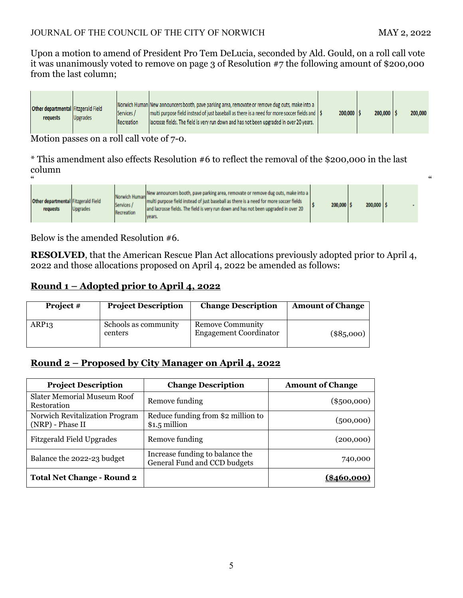Upon a motion to amend of President Pro Tem DeLucia, seconded by Ald. Gould, on a roll call vote it was unanimously voted to remove on page 3 of Resolution #7 the following amount of \$200,000 from the last column;

| Other departmental Fitzgerald Field<br>requests | <b>Upgrades</b> | Services /<br>Recreation | Norwich Human New announcers booth, pave parking area, removate or remove dug outs, make into a<br>multi purpose field instead of just baseball as there is a need for more soccer fields and   \$<br>lacrosse fields. The field is very run down and has not been upgraded in over 20 years. | $200,000$   \$ | 200,000 |  | 200,000 |  |
|-------------------------------------------------|-----------------|--------------------------|-----------------------------------------------------------------------------------------------------------------------------------------------------------------------------------------------------------------------------------------------------------------------------------------------|----------------|---------|--|---------|--|
|-------------------------------------------------|-----------------|--------------------------|-----------------------------------------------------------------------------------------------------------------------------------------------------------------------------------------------------------------------------------------------------------------------------------------------|----------------|---------|--|---------|--|

Motion passes on a roll call vote of 7-0.

\* This amendment also effects Resolution #6 to reflect the removal of the \$200,000 in the last column

| "                                               |                 |                                           |                                                                                                                                                                                                                                                                               |         |         | " |
|-------------------------------------------------|-----------------|-------------------------------------------|-------------------------------------------------------------------------------------------------------------------------------------------------------------------------------------------------------------------------------------------------------------------------------|---------|---------|---|
| Other departmental Fitzgerald Field<br>requests | <b>Upgrades</b> | Norwich Human<br>Services /<br>Recreation | New announcers booth, pave parking area, removate or remove dug outs, make into a<br>multi purpose field instead of just baseball as there is a need for more soccer fields<br>and lacrosse fields. The field is very run down and has not been upgraded in over 20<br>years. | 200,000 | 200,000 |   |

Below is the amended Resolution #6.

**RESOLVED**, that the American Rescue Plan Act allocations previously adopted prior to April 4, 2022 and those allocations proposed on April 4, 2022 be amended as follows:

# **Round 1 – Adopted prior to April 4, 2022**

| Project $#$ | <b>Project Description</b>      | <b>Change Description</b>                         | <b>Amount of Change</b> |
|-------------|---------------------------------|---------------------------------------------------|-------------------------|
| ARP13       | Schools as community<br>centers | Remove Community<br><b>Engagement Coordinator</b> | $(\$85,000)$            |

# **Round 2 – Proposed by City Manager on April 4, 2022**

| <b>Project Description</b>                         | <b>Change Description</b>                                       | <b>Amount of Change</b> |
|----------------------------------------------------|-----------------------------------------------------------------|-------------------------|
| Slater Memorial Museum Roof<br>Restoration         | Remove funding                                                  | $(\$500,000)$           |
| Norwich Revitalization Program<br>(NRP) - Phase II | Reduce funding from \$2 million to<br>$$1.5$ million            | (500,000)               |
| <b>Fitzgerald Field Upgrades</b>                   | Remove funding                                                  | (200,000)               |
| Balance the 2022-23 budget                         | Increase funding to balance the<br>General Fund and CCD budgets | 740,000                 |
| <b>Total Net Change - Round 2</b>                  |                                                                 | [\$460.000]             |